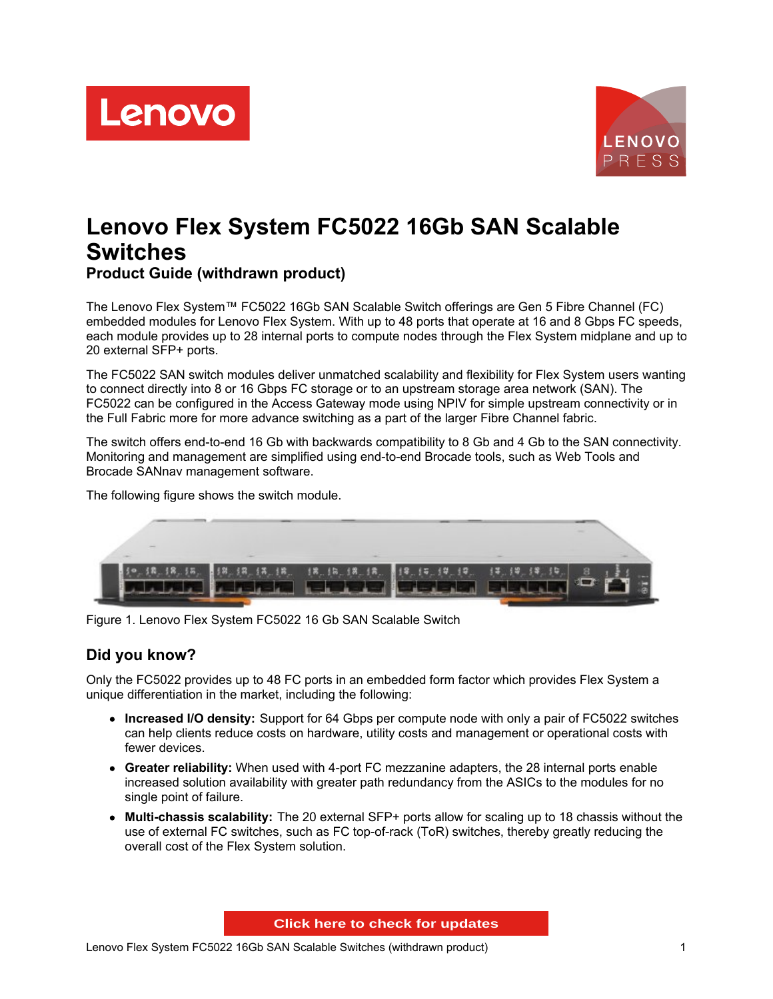



# **Lenovo Flex System FC5022 16Gb SAN Scalable Switches Product Guide (withdrawn product)**

The Lenovo Flex System™ FC5022 16Gb SAN Scalable Switch offerings are Gen 5 Fibre Channel (FC) embedded modules for Lenovo Flex System. With up to 48 ports that operate at 16 and 8 Gbps FC speeds, each module provides up to 28 internal ports to compute nodes through the Flex System midplane and up to 20 external SFP+ ports.

The FC5022 SAN switch modules deliver unmatched scalability and flexibility for Flex System users wanting to connect directly into 8 or 16 Gbps FC storage or to an upstream storage area network (SAN). The FC5022 can be configured in the Access Gateway mode using NPIV for simple upstream connectivity or in the Full Fabric more for more advance switching as a part of the larger Fibre Channel fabric.

The switch offers end-to-end 16 Gb with backwards compatibility to 8 Gb and 4 Gb to the SAN connectivity. Monitoring and management are simplified using end-to-end Brocade tools, such as Web Tools and Brocade SANnav management software.

32 18,18 15.18. 18 14.19.19 18. 12 12

The following figure shows the switch module.

Figure 1. Lenovo Flex System FC5022 16 Gb SAN Scalable Switch

#### **Did you know?**

Only the FC5022 provides up to 48 FC ports in an embedded form factor which provides Flex System a unique differentiation in the market, including the following:

- **Increased I/O density:** Support for 64 Gbps per compute node with only a pair of FC5022 switches can help clients reduce costs on hardware, utility costs and management or operational costs with fewer devices.
- **Greater reliability:** When used with 4-port FC mezzanine adapters, the 28 internal ports enable increased solution availability with greater path redundancy from the ASICs to the modules for no single point of failure.
- **Multi-chassis scalability:** The 20 external SFP+ ports allow for scaling up to 18 chassis without the use of external FC switches, such as FC top-of-rack (ToR) switches, thereby greatly reducing the overall cost of the Flex System solution.

**Click here to check for updates**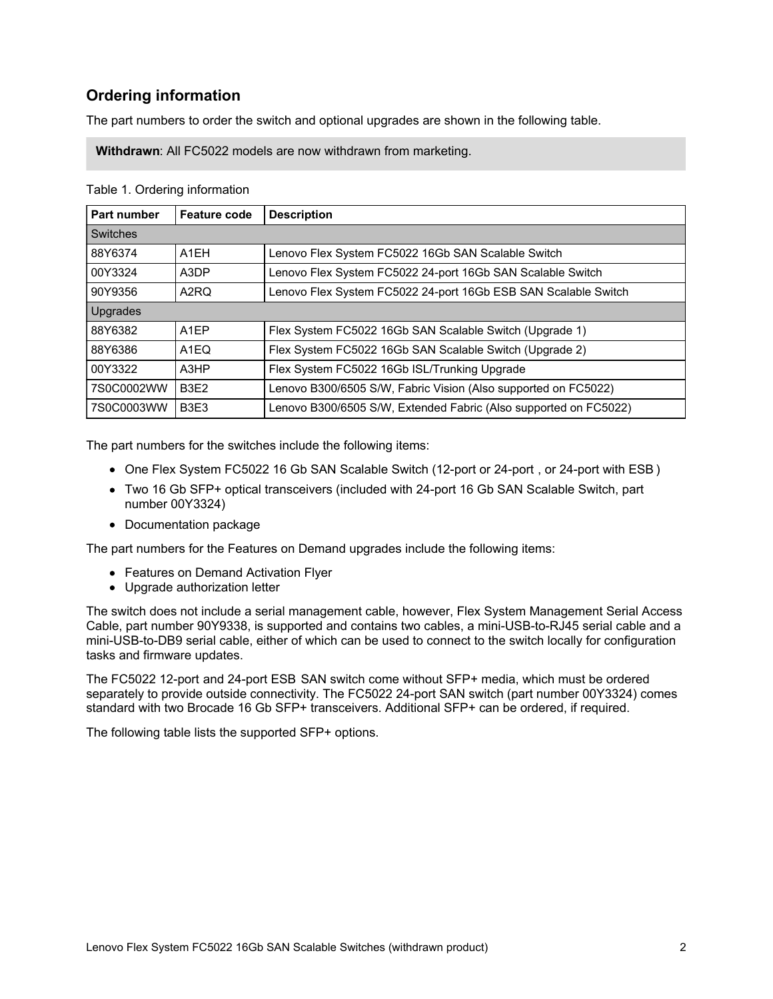## **Ordering information**

The part numbers to order the switch and optional upgrades are shown in the following table.

**Withdrawn**: All FC5022 models are now withdrawn from marketing.

| Part number     | <b>Feature code</b>           | <b>Description</b>                                               |
|-----------------|-------------------------------|------------------------------------------------------------------|
| <b>Switches</b> |                               |                                                                  |
| 88Y6374         | A <sub>1</sub> EH             | Lenovo Flex System FC5022 16Gb SAN Scalable Switch               |
| 00Y3324         | A3DP                          | Lenovo Flex System FC5022 24-port 16Gb SAN Scalable Switch       |
| 90Y9356         | A2RQ                          | Lenovo Flex System FC5022 24-port 16Gb ESB SAN Scalable Switch   |
| <b>Upgrades</b> |                               |                                                                  |
| 88Y6382         | A <sub>1</sub> EP             | Flex System FC5022 16Gb SAN Scalable Switch (Upgrade 1)          |
| 88Y6386         | A1EQ                          | Flex System FC5022 16Gb SAN Scalable Switch (Upgrade 2)          |
| 00Y3322         | A <sub>3</sub> HP             | Flex System FC5022 16Gb ISL/Trunking Upgrade                     |
| 7S0C0002WW      | <b>B3E2</b>                   | Lenovo B300/6505 S/W, Fabric Vision (Also supported on FC5022)   |
| 7S0C0003WW      | B <sub>3</sub> E <sub>3</sub> | Lenovo B300/6505 S/W, Extended Fabric (Also supported on FC5022) |

Table 1. Ordering information

The part numbers for the switches include the following items:

- One Flex System FC5022 16 Gb SAN Scalable Switch (12-port or 24-port , or 24-port with ESB )
- Two 16 Gb SFP+ optical transceivers (included with 24-port 16 Gb SAN Scalable Switch, part number 00Y3324)
- Documentation package

The part numbers for the Features on Demand upgrades include the following items:

- Features on Demand Activation Flyer
- Upgrade authorization letter

The switch does not include a serial management cable, however, Flex System Management Serial Access Cable, part number 90Y9338, is supported and contains two cables, a mini-USB-to-RJ45 serial cable and a mini-USB-to-DB9 serial cable, either of which can be used to connect to the switch locally for configuration tasks and firmware updates.

The FC5022 12-port and 24-port ESB SAN switch come without SFP+ media, which must be ordered separately to provide outside connectivity. The FC5022 24-port SAN switch (part number 00Y3324) comes standard with two Brocade 16 Gb SFP+ transceivers. Additional SFP+ can be ordered, if required.

The following table lists the supported SFP+ options.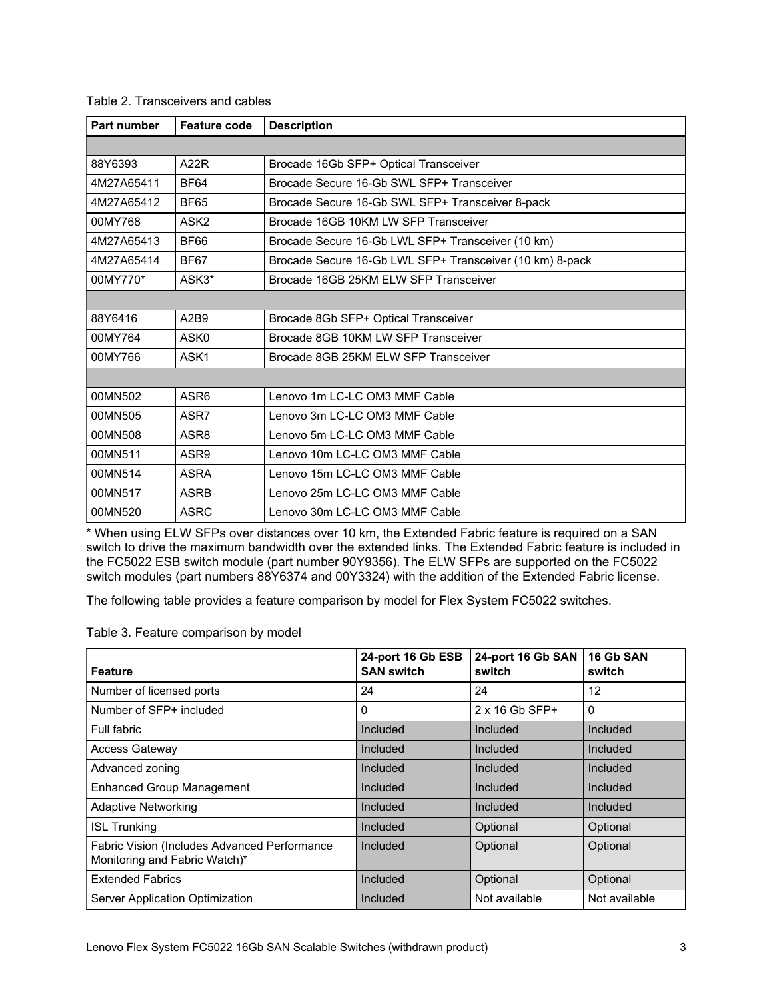| Part number | Feature code     | <b>Description</b>                                       |
|-------------|------------------|----------------------------------------------------------|
|             |                  |                                                          |
| 88Y6393     | A22R             | Brocade 16Gb SFP+ Optical Transceiver                    |
| 4M27A65411  | <b>BF64</b>      | Brocade Secure 16-Gb SWL SFP+ Transceiver                |
| 4M27A65412  | <b>BF65</b>      | Brocade Secure 16-Gb SWL SFP+ Transceiver 8-pack         |
| 00MY768     | ASK <sub>2</sub> | Brocade 16GB 10KM LW SFP Transceiver                     |
| 4M27A65413  | <b>BF66</b>      | Brocade Secure 16-Gb LWL SFP+ Transceiver (10 km)        |
| 4M27A65414  | <b>BF67</b>      | Brocade Secure 16-Gb LWL SFP+ Transceiver (10 km) 8-pack |
| 00MY770*    | ASK3*            | Brocade 16GB 25KM ELW SFP Transceiver                    |
|             |                  |                                                          |
| 88Y6416     | A2B9             | Brocade 8Gb SFP+ Optical Transceiver                     |
| 00MY764     | ASK0             | Brocade 8GB 10KM LW SFP Transceiver                      |
| 00MY766     | ASK1             | Brocade 8GB 25KM ELW SFP Transceiver                     |
|             |                  |                                                          |
| 00MN502     | ASR6             | Lenovo 1m LC-LC OM3 MMF Cable                            |
| 00MN505     | ASR7             | Lenovo 3m LC-LC OM3 MMF Cable                            |
| 00MN508     | ASR8             | Lenovo 5m LC-LC OM3 MMF Cable                            |
| 00MN511     | ASR9             | Lenovo 10m LC-LC OM3 MMF Cable                           |
| 00MN514     | <b>ASRA</b>      | Lenovo 15m LC-LC OM3 MMF Cable                           |
| 00MN517     | <b>ASRB</b>      | Lenovo 25m LC-LC OM3 MMF Cable                           |
| 00MN520     | <b>ASRC</b>      | Lenovo 30m LC-LC OM3 MMF Cable                           |

Table 2. Transceivers and cables

\* When using ELW SFPs over distances over 10 km, the Extended Fabric feature is required on a SAN switch to drive the maximum bandwidth over the extended links. The Extended Fabric feature is included in the FC5022 ESB switch module (part number 90Y9356). The ELW SFPs are supported on the FC5022 switch modules (part numbers 88Y6374 and 00Y3324) with the addition of the Extended Fabric license.

The following table provides a feature comparison by model for Flex System FC5022 switches.

Table 3. Feature comparison by model

| <b>Feature</b>                                                                | 24-port 16 Gb ESB<br><b>SAN switch</b> | 24-port 16 Gb SAN<br>switch | 16 Gb SAN<br>switch |
|-------------------------------------------------------------------------------|----------------------------------------|-----------------------------|---------------------|
| Number of licensed ports                                                      | 24                                     | 24                          | 12                  |
| Number of SFP+ included                                                       | 0                                      | $2 \times 16$ Gb SFP+       | $\Omega$            |
| Full fabric                                                                   | Included                               | Included                    | Included            |
| <b>Access Gateway</b>                                                         | Included                               | Included                    | Included            |
| Advanced zoning                                                               | Included                               | Included                    | Included            |
| <b>Enhanced Group Management</b>                                              | Included                               | Included                    | Included            |
| <b>Adaptive Networking</b>                                                    | Included                               | Included                    | Included            |
| <b>ISL Trunking</b>                                                           | Included                               | Optional                    | Optional            |
| Fabric Vision (Includes Advanced Performance<br>Monitoring and Fabric Watch)* | Included                               | Optional                    | Optional            |
| <b>Extended Fabrics</b>                                                       | Included                               | Optional                    | Optional            |
| Server Application Optimization                                               | Included                               | Not available               | Not available       |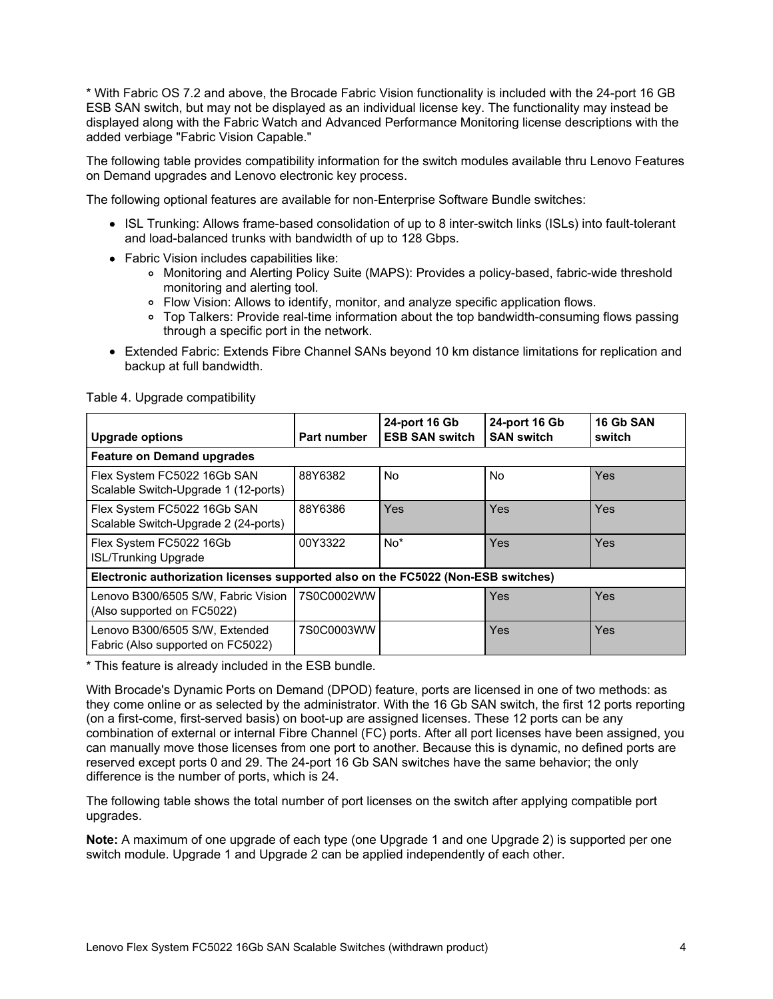\* With Fabric OS 7.2 and above, the Brocade Fabric Vision functionality is included with the 24-port 16 GB ESB SAN switch, but may not be displayed as an individual license key. The functionality may instead be displayed along with the Fabric Watch and Advanced Performance Monitoring license descriptions with the added verbiage "Fabric Vision Capable."

The following table provides compatibility information for the switch modules available thru Lenovo Features on Demand upgrades and Lenovo electronic key process.

The following optional features are available for non-Enterprise Software Bundle switches:

- ISL Trunking: Allows frame-based consolidation of up to 8 inter-switch links (ISLs) into fault-tolerant and load-balanced trunks with bandwidth of up to 128 Gbps.
- Fabric Vision includes capabilities like:
	- Monitoring and Alerting Policy Suite (MAPS): Provides a policy-based, fabric-wide threshold monitoring and alerting tool.
	- Flow Vision: Allows to identify, monitor, and analyze specific application flows.
	- Top Talkers: Provide real-time information about the top bandwidth-consuming flows passing through a specific port in the network.
- Extended Fabric: Extends Fibre Channel SANs beyond 10 km distance limitations for replication and backup at full bandwidth.

| <b>Upgrade options</b>                                                            | <b>Part number</b> | 24-port 16 Gb<br><b>ESB SAN switch</b> | 24-port 16 Gb<br><b>SAN switch</b> | 16 Gb SAN<br>switch |
|-----------------------------------------------------------------------------------|--------------------|----------------------------------------|------------------------------------|---------------------|
| <b>Feature on Demand upgrades</b>                                                 |                    |                                        |                                    |                     |
| Flex System FC5022 16Gb SAN<br>Scalable Switch-Upgrade 1 (12-ports)               | 88Y6382            | No.                                    | <b>No</b>                          | Yes                 |
| Flex System FC5022 16Gb SAN<br>Scalable Switch-Upgrade 2 (24-ports)               | 88Y6386            | Yes                                    | Yes                                | Yes                 |
| Flex System FC5022 16Gb<br><b>ISL/Trunking Upgrade</b>                            | 00Y3322            | No <sup>*</sup>                        | Yes                                | Yes                 |
| Electronic authorization licenses supported also on the FC5022 (Non-ESB switches) |                    |                                        |                                    |                     |
| Lenovo B300/6505 S/W, Fabric Vision<br>(Also supported on FC5022)                 | 7S0C0002WW         |                                        | Yes                                | Yes                 |
| Lenovo B300/6505 S/W, Extended<br>Fabric (Also supported on FC5022)               | 7S0C0003WW         |                                        | Yes                                | Yes                 |

Table 4. Upgrade compatibility

\* This feature is already included in the ESB bundle.

With Brocade's Dynamic Ports on Demand (DPOD) feature, ports are licensed in one of two methods: as they come online or as selected by the administrator. With the 16 Gb SAN switch, the first 12 ports reporting (on a first-come, first-served basis) on boot-up are assigned licenses. These 12 ports can be any combination of external or internal Fibre Channel (FC) ports. After all port licenses have been assigned, you can manually move those licenses from one port to another. Because this is dynamic, no defined ports are reserved except ports 0 and 29. The 24-port 16 Gb SAN switches have the same behavior; the only difference is the number of ports, which is 24.

The following table shows the total number of port licenses on the switch after applying compatible port upgrades.

**Note:** A maximum of one upgrade of each type (one Upgrade 1 and one Upgrade 2) is supported per one switch module. Upgrade 1 and Upgrade 2 can be applied independently of each other.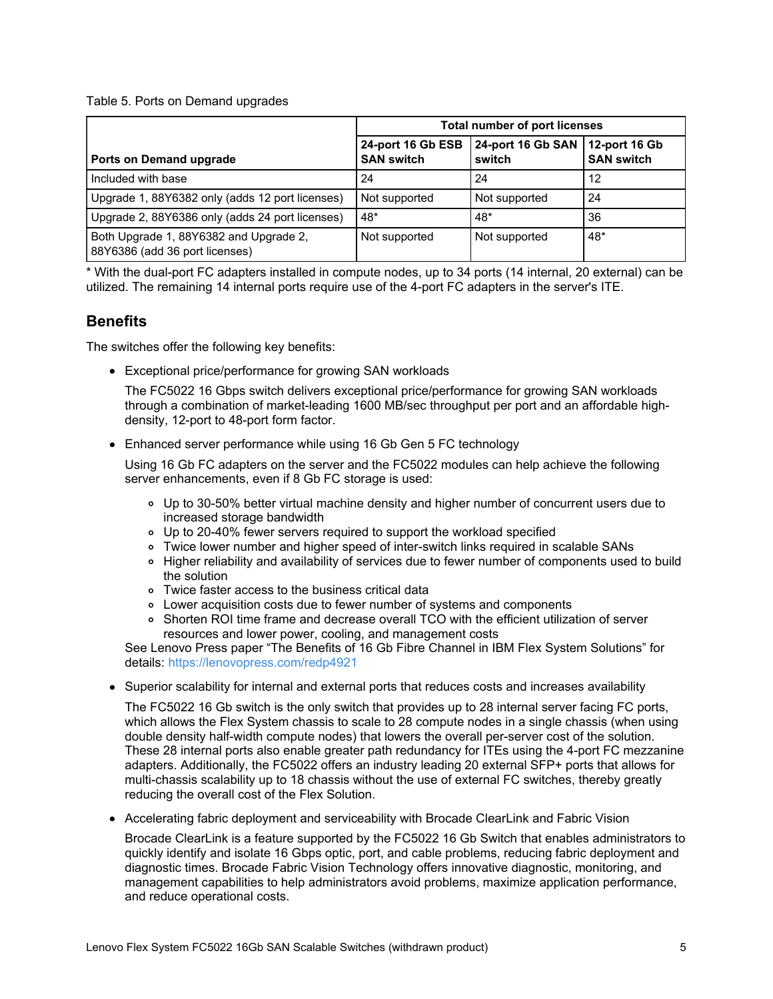Table 5. Ports on Demand upgrades

|                                                                          | <b>Total number of port licenses</b>   |                                             |                   |
|--------------------------------------------------------------------------|----------------------------------------|---------------------------------------------|-------------------|
| Ports on Demand upgrade                                                  | 24-port 16 Gb ESB<br><b>SAN switch</b> | 24-port 16 Gb SAN   12-port 16 Gb<br>switch | <b>SAN switch</b> |
| Included with base                                                       | 24                                     | 24                                          | 12                |
| Upgrade 1, 88Y6382 only (adds 12 port licenses)                          | Not supported                          | Not supported                               | 24                |
| Upgrade 2, 88Y6386 only (adds 24 port licenses)                          | $48*$                                  | 48*                                         | 36                |
| Both Upgrade 1, 88Y6382 and Upgrade 2,<br>88Y6386 (add 36 port licenses) | Not supported                          | Not supported                               | $48*$             |

\* With the dual-port FC adapters installed in compute nodes, up to 34 ports (14 internal, 20 external) can be utilized. The remaining 14 internal ports require use of the 4-port FC adapters in the server's ITE.

#### **Benefits**

The switches offer the following key benefits:

Exceptional price/performance for growing SAN workloads

The FC5022 16 Gbps switch delivers exceptional price/performance for growing SAN workloads through a combination of market-leading 1600 MB/sec throughput per port and an affordable highdensity, 12-port to 48-port form factor.

Enhanced server performance while using 16 Gb Gen 5 FC technology

Using 16 Gb FC adapters on the server and the FC5022 modules can help achieve the following server enhancements, even if 8 Gb FC storage is used:

- Up to 30-50% better virtual machine density and higher number of concurrent users due to increased storage bandwidth
- Up to 20-40% fewer servers required to support the workload specified
- Twice lower number and higher speed of inter-switch links required in scalable SANs
- o Higher reliability and availability of services due to fewer number of components used to build the solution
- Twice faster access to the business critical data
- Lower acquisition costs due to fewer number of systems and components
- o Shorten ROI time frame and decrease overall TCO with the efficient utilization of server resources and lower power, cooling, and management costs

See Lenovo Press paper "The Benefits of 16 Gb Fibre Channel in IBM Flex System Solutions" for details: <https://lenovopress.com/redp4921>

• Superior scalability for internal and external ports that reduces costs and increases availability

The FC5022 16 Gb switch is the only switch that provides up to 28 internal server facing FC ports, which allows the Flex System chassis to scale to 28 compute nodes in a single chassis (when using double density half-width compute nodes) that lowers the overall per-server cost of the solution. These 28 internal ports also enable greater path redundancy for ITEs using the 4-port FC mezzanine adapters. Additionally, the FC5022 offers an industry leading 20 external SFP+ ports that allows for multi-chassis scalability up to 18 chassis without the use of external FC switches, thereby greatly reducing the overall cost of the Flex Solution.

Accelerating fabric deployment and serviceability with Brocade ClearLink and Fabric Vision

Brocade ClearLink is a feature supported by the FC5022 16 Gb Switch that enables administrators to quickly identify and isolate 16 Gbps optic, port, and cable problems, reducing fabric deployment and diagnostic times. Brocade Fabric Vision Technology offers innovative diagnostic, monitoring, and management capabilities to help administrators avoid problems, maximize application performance, and reduce operational costs.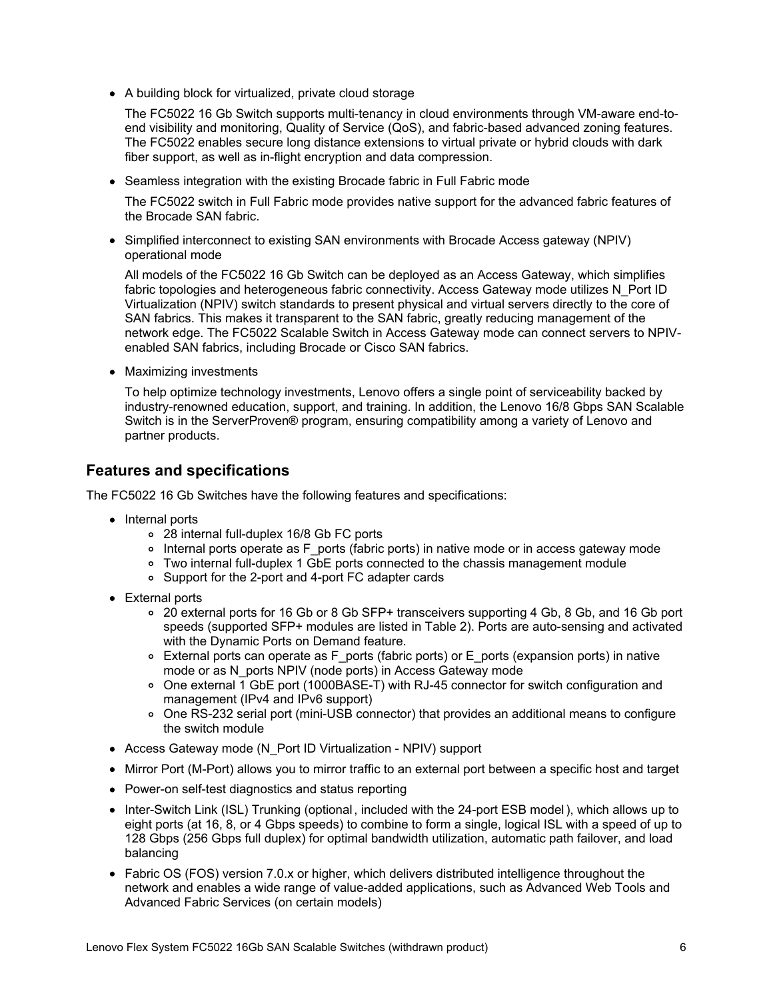A building block for virtualized, private cloud storage

The FC5022 16 Gb Switch supports multi-tenancy in cloud environments through VM-aware end-toend visibility and monitoring, Quality of Service (QoS), and fabric-based advanced zoning features. The FC5022 enables secure long distance extensions to virtual private or hybrid clouds with dark fiber support, as well as in-flight encryption and data compression.

Seamless integration with the existing Brocade fabric in Full Fabric mode

The FC5022 switch in Full Fabric mode provides native support for the advanced fabric features of the Brocade SAN fabric.

• Simplified interconnect to existing SAN environments with Brocade Access gateway (NPIV) operational mode

All models of the FC5022 16 Gb Switch can be deployed as an Access Gateway, which simplifies fabric topologies and heterogeneous fabric connectivity. Access Gateway mode utilizes N\_Port ID Virtualization (NPIV) switch standards to present physical and virtual servers directly to the core of SAN fabrics. This makes it transparent to the SAN fabric, greatly reducing management of the network edge. The FC5022 Scalable Switch in Access Gateway mode can connect servers to NPIVenabled SAN fabrics, including Brocade or Cisco SAN fabrics.

• Maximizing investments

To help optimize technology investments, Lenovo offers a single point of serviceability backed by industry-renowned education, support, and training. In addition, the Lenovo 16/8 Gbps SAN Scalable Switch is in the ServerProven® program, ensuring compatibility among a variety of Lenovo and partner products.

## **Features and specifications**

The FC5022 16 Gb Switches have the following features and specifications:

- Internal ports
	- 28 internal full-duplex 16/8 Gb FC ports
	- Internal ports operate as F ports (fabric ports) in native mode or in access gateway mode
	- Two internal full-duplex 1 GbE ports connected to the chassis management module
	- Support for the 2-port and 4-port FC adapter cards
- External ports
	- 20 external ports for 16 Gb or 8 Gb SFP+ transceivers supporting 4 Gb, 8 Gb, and 16 Gb port speeds (supported SFP+ modules are listed in Table 2). Ports are auto-sensing and activated with the Dynamic Ports on Demand feature.
	- External ports can operate as F\_ports (fabric ports) or E\_ports (expansion ports) in native mode or as N\_ports NPIV (node ports) in Access Gateway mode
	- One external 1 GbE port (1000BASE-T) with RJ-45 connector for switch configuration and management (IPv4 and IPv6 support)
	- One RS-232 serial port (mini-USB connector) that provides an additional means to configure the switch module
- Access Gateway mode (N\_Port ID Virtualization NPIV) support
- Mirror Port (M-Port) allows you to mirror traffic to an external port between a specific host and target
- Power-on self-test diagnostics and status reporting
- Inter-Switch Link (ISL) Trunking (optional, included with the 24-port ESB model), which allows up to eight ports (at 16, 8, or 4 Gbps speeds) to combine to form a single, logical ISL with a speed of up to 128 Gbps (256 Gbps full duplex) for optimal bandwidth utilization, automatic path failover, and load balancing
- Fabric OS (FOS) version 7.0.x or higher, which delivers distributed intelligence throughout the network and enables a wide range of value-added applications, such as Advanced Web Tools and Advanced Fabric Services (on certain models)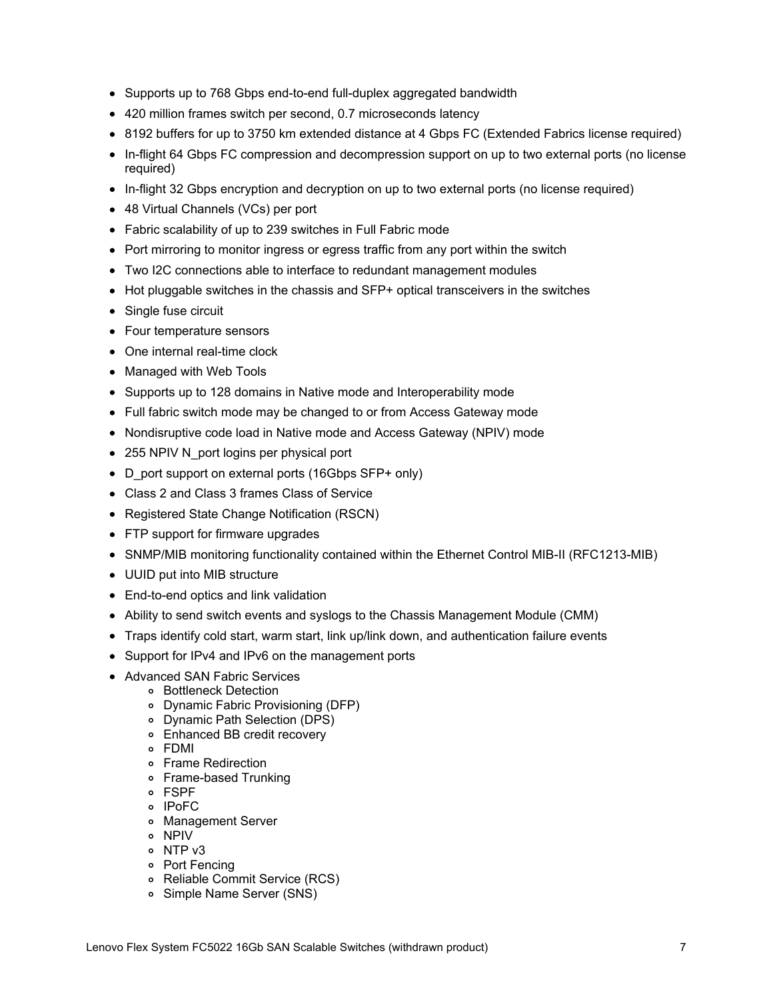- Supports up to 768 Gbps end-to-end full-duplex aggregated bandwidth
- 420 million frames switch per second, 0.7 microseconds latency
- 8192 buffers for up to 3750 km extended distance at 4 Gbps FC (Extended Fabrics license required)
- In-flight 64 Gbps FC compression and decompression support on up to two external ports (no license required)
- In-flight 32 Gbps encryption and decryption on up to two external ports (no license required)
- 48 Virtual Channels (VCs) per port
- Fabric scalability of up to 239 switches in Full Fabric mode
- Port mirroring to monitor ingress or egress traffic from any port within the switch
- Two I2C connections able to interface to redundant management modules
- Hot pluggable switches in the chassis and SFP+ optical transceivers in the switches
- Single fuse circuit
- Four temperature sensors
- One internal real-time clock
- Managed with Web Tools
- Supports up to 128 domains in Native mode and Interoperability mode
- Full fabric switch mode may be changed to or from Access Gateway mode
- Nondisruptive code load in Native mode and Access Gateway (NPIV) mode
- 255 NPIV N port logins per physical port
- D port support on external ports (16Gbps SFP+ only)
- Class 2 and Class 3 frames Class of Service
- Registered State Change Notification (RSCN)
- FTP support for firmware upgrades
- SNMP/MIB monitoring functionality contained within the Ethernet Control MIB-II (RFC1213-MIB)
- UUID put into MIB structure
- End-to-end optics and link validation
- Ability to send switch events and syslogs to the Chassis Management Module (CMM)
- Traps identify cold start, warm start, link up/link down, and authentication failure events
- Support for IPv4 and IPv6 on the management ports
- Advanced SAN Fabric Services
	- Bottleneck Detection
	- Dynamic Fabric Provisioning (DFP)
	- Dynamic Path Selection (DPS)
	- Enhanced BB credit recovery
	- FDMI
	- Frame Redirection
	- Frame-based Trunking
	- FSPF
	- o IPoFC
	- Management Server
	- NPIV
	- o NTP v3
	- Port Fencing
	- Reliable Commit Service (RCS)
	- o Simple Name Server (SNS)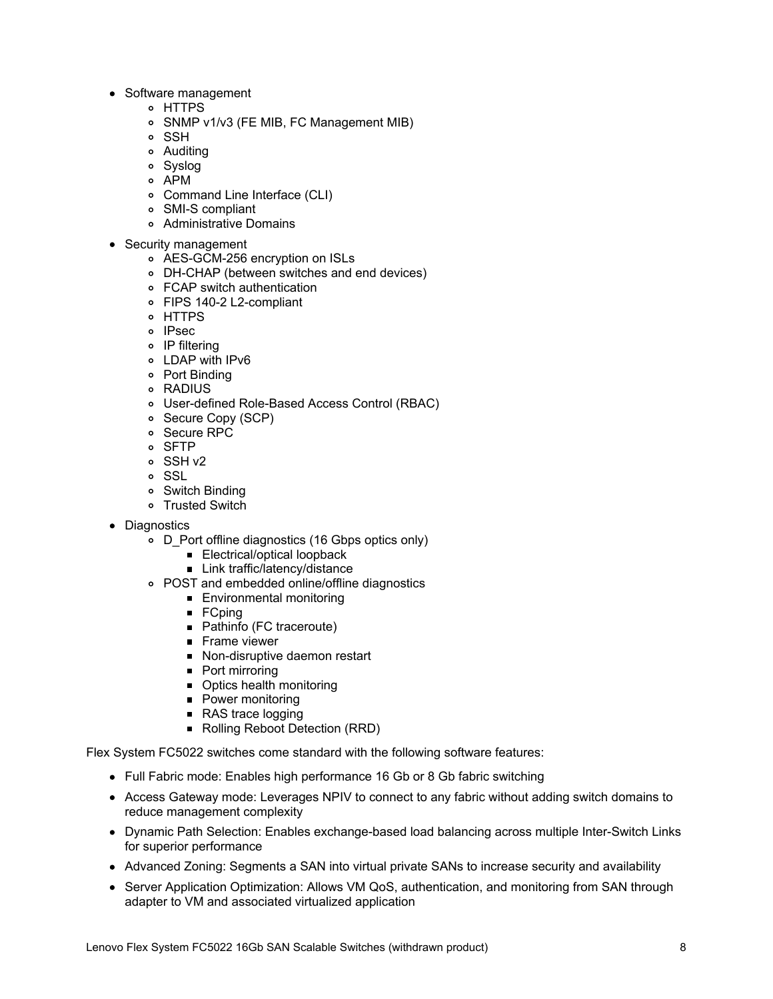- Software management
	- HTTPS
	- SNMP v1/v3 (FE MIB, FC Management MIB)
	- o SSH
	- Auditing
	- Syslog
	- APM
	- Command Line Interface (CLI)
	- SMI-S compliant
	- Administrative Domains
- Security management
	- AES-GCM-256 encryption on ISLs
	- DH-CHAP (between switches and end devices)
	- FCAP switch authentication
	- FIPS 140-2 L2-compliant
	- HTTPS
	- o IPsec
	- IP filtering
	- LDAP with IPv6
	- Port Binding
	- RADIUS
	- User-defined Role-Based Access Control (RBAC)
	- o Secure Copy (SCP)
	- Secure RPC
	- o SFTP
	- SSH v2
	- o SSL
	- Switch Binding
	- Trusted Switch
- Diagnostics
	- o D Port offline diagnostics (16 Gbps optics only)
		- **Electrical/optical loopback**
		- Link traffic/latency/distance
	- POST and embedded online/offline diagnostics
		- **Environmental monitoring**
		- $\blacksquare$  FCping
		- Pathinfo (FC traceroute)
		- **Frame viewer**
		- Non-disruptive daemon restart
		- **Port mirroring**
		- Optics health monitoring
		- Power monitoring
		- RAS trace logging
		- Rolling Reboot Detection (RRD)

Flex System FC5022 switches come standard with the following software features:

- Full Fabric mode: Enables high performance 16 Gb or 8 Gb fabric switching
- Access Gateway mode: Leverages NPIV to connect to any fabric without adding switch domains to reduce management complexity
- Dynamic Path Selection: Enables exchange-based load balancing across multiple Inter-Switch Links for superior performance
- Advanced Zoning: Segments a SAN into virtual private SANs to increase security and availability
- Server Application Optimization: Allows VM QoS, authentication, and monitoring from SAN through adapter to VM and associated virtualized application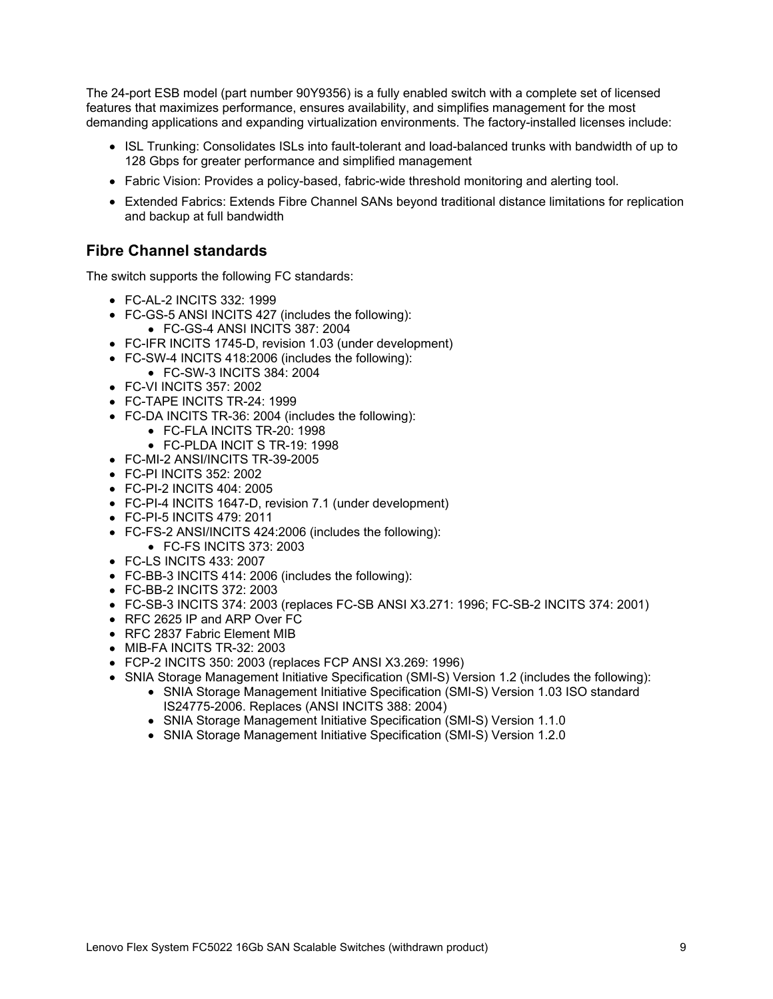The 24-port ESB model (part number 90Y9356) is a fully enabled switch with a complete set of licensed features that maximizes performance, ensures availability, and simplifies management for the most demanding applications and expanding virtualization environments. The factory-installed licenses include:

- ISL Trunking: Consolidates ISLs into fault-tolerant and load-balanced trunks with bandwidth of up to 128 Gbps for greater performance and simplified management
- Fabric Vision: Provides a policy-based, fabric-wide threshold monitoring and alerting tool.
- Extended Fabrics: Extends Fibre Channel SANs beyond traditional distance limitations for replication and backup at full bandwidth

#### **Fibre Channel standards**

The switch supports the following FC standards:

- FC-AL-2 INCITS 332: 1999
- FC-GS-5 ANSI INCITS 427 (includes the following):
	- FC-GS-4 ANSI INCITS 387: 2004
- FC-IFR INCITS 1745-D, revision 1.03 (under development)
- FC-SW-4 INCITS 418:2006 (includes the following):
- FC-SW-3 INCITS 384: 2004
- FC-VI INCITS 357: 2002
- FC-TAPE INCITS TR-24: 1999
- FC-DA INCITS TR-36: 2004 (includes the following):
	- FC-FLA INCITS TR-20: 1998
	- FC-PLDA INCIT S TR-19: 1998
- FC-MI-2 ANSI/INCITS TR-39-2005
- FC-PI INCITS 352: 2002
- FC-PI-2 INCITS 404: 2005
- FC-PI-4 INCITS 1647-D, revision 7.1 (under development)
- FC-PI-5 INCITS 479: 2011
- FC-FS-2 ANSI/INCITS 424:2006 (includes the following):
	- FC-FS INCITS 373: 2003
- FC-LS INCITS 433: 2007
- FC-BB-3 INCITS 414: 2006 (includes the following):
- FC-BB-2 INCITS 372: 2003
- FC-SB-3 INCITS 374: 2003 (replaces FC-SB ANSI X3.271: 1996; FC-SB-2 INCITS 374: 2001)
- RFC 2625 IP and ARP Over FC
- RFC 2837 Fabric Element MIB
- MIB-FA INCITS TR-32: 2003
- FCP-2 INCITS 350: 2003 (replaces FCP ANSI X3.269: 1996)
- SNIA Storage Management Initiative Specification (SMI-S) Version 1.2 (includes the following):
	- SNIA Storage Management Initiative Specification (SMI-S) Version 1.03 ISO standard IS24775-2006. Replaces (ANSI INCITS 388: 2004)
	- SNIA Storage Management Initiative Specification (SMI-S) Version 1.1.0
	- SNIA Storage Management Initiative Specification (SMI-S) Version 1.2.0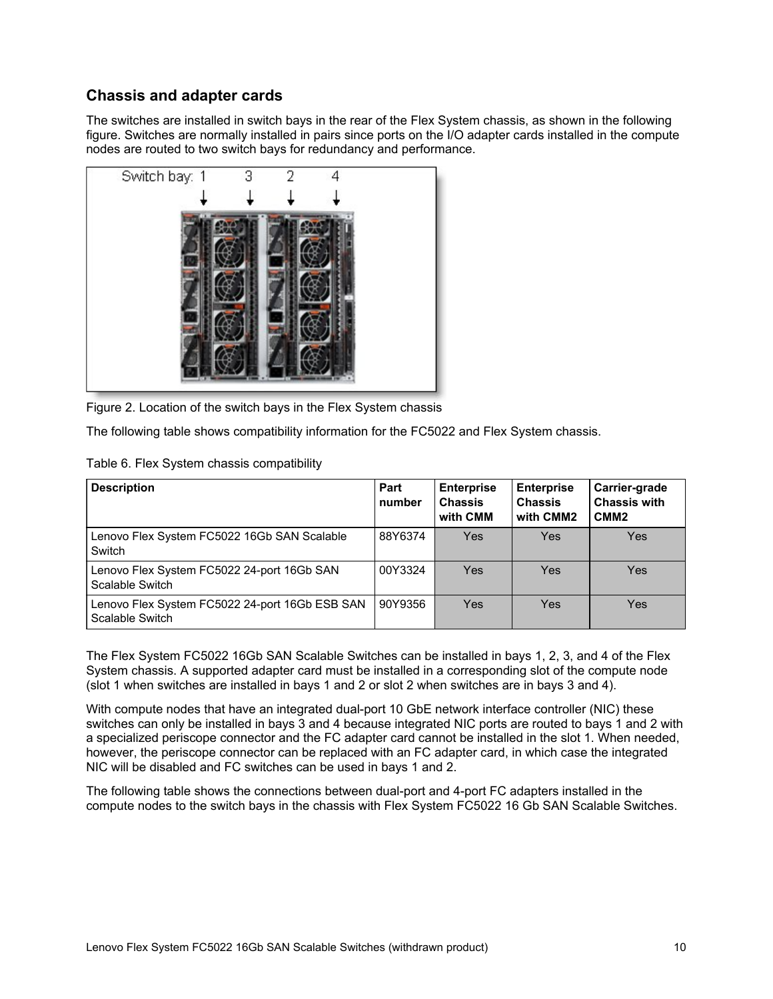## **Chassis and adapter cards**

The switches are installed in switch bays in the rear of the Flex System chassis, as shown in the following figure. Switches are normally installed in pairs since ports on the I/O adapter cards installed in the compute nodes are routed to two switch bays for redundancy and performance.



Figure 2. Location of the switch bays in the Flex System chassis

The following table shows compatibility information for the FC5022 and Flex System chassis.

| <b>Description</b>                                                | Part<br>number | <b>Enterprise</b><br><b>Chassis</b><br>with CMM | <b>Enterprise</b><br><b>Chassis</b><br>with CMM2 | Carrier-grade<br><b>Chassis with</b><br>CMM <sub>2</sub> |
|-------------------------------------------------------------------|----------------|-------------------------------------------------|--------------------------------------------------|----------------------------------------------------------|
| Lenovo Flex System FC5022 16Gb SAN Scalable<br>Switch             | 88Y6374        | Yes                                             | Yes                                              | Yes                                                      |
| Lenovo Flex System FC5022 24-port 16Gb SAN<br>Scalable Switch     | 00Y3324        | Yes                                             | Yes                                              | Yes                                                      |
| Lenovo Flex System FC5022 24-port 16Gb ESB SAN<br>Scalable Switch | 90Y9356        | Yes                                             | Yes                                              | Yes                                                      |

The Flex System FC5022 16Gb SAN Scalable Switches can be installed in bays 1, 2, 3, and 4 of the Flex System chassis. A supported adapter card must be installed in a corresponding slot of the compute node (slot 1 when switches are installed in bays 1 and 2 or slot 2 when switches are in bays 3 and 4).

With compute nodes that have an integrated dual-port 10 GbE network interface controller (NIC) these switches can only be installed in bays 3 and 4 because integrated NIC ports are routed to bays 1 and 2 with a specialized periscope connector and the FC adapter card cannot be installed in the slot 1. When needed, however, the periscope connector can be replaced with an FC adapter card, in which case the integrated NIC will be disabled and FC switches can be used in bays 1 and 2.

The following table shows the connections between dual-port and 4-port FC adapters installed in the compute nodes to the switch bays in the chassis with Flex System FC5022 16 Gb SAN Scalable Switches.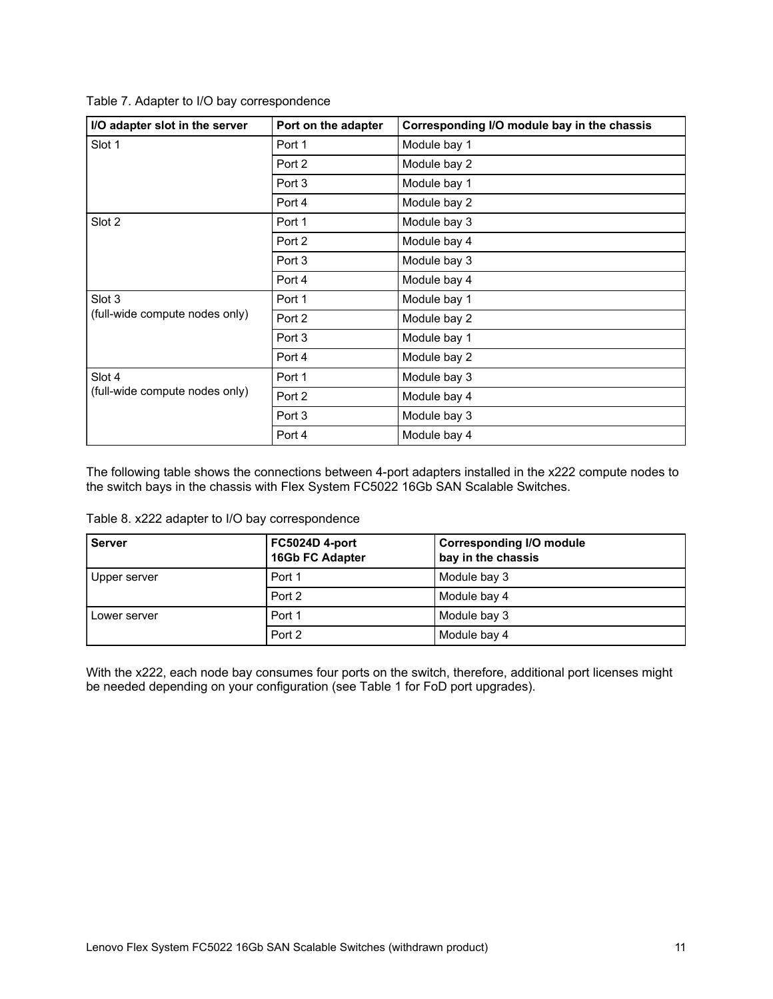Table 7. Adapter to I/O bay correspondence

| I/O adapter slot in the server | Port on the adapter | Corresponding I/O module bay in the chassis |
|--------------------------------|---------------------|---------------------------------------------|
| Slot 1                         | Port 1              | Module bay 1                                |
|                                | Port 2              | Module bay 2                                |
|                                | Port 3              | Module bay 1                                |
|                                | Port 4              | Module bay 2                                |
| Slot 2                         | Port 1              | Module bay 3                                |
|                                | Port 2              | Module bay 4                                |
|                                | Port 3              | Module bay 3                                |
|                                | Port 4              | Module bay 4                                |
| Slot 3                         | Port 1              | Module bay 1                                |
| (full-wide compute nodes only) | Port 2              | Module bay 2                                |
|                                | Port 3              | Module bay 1                                |
|                                | Port 4              | Module bay 2                                |
| Slot 4                         | Port 1              | Module bay 3                                |
| (full-wide compute nodes only) | Port 2              | Module bay 4                                |
|                                | Port 3              | Module bay 3                                |
|                                | Port 4              | Module bay 4                                |

The following table shows the connections between 4-port adapters installed in the x222 compute nodes to the switch bays in the chassis with Flex System FC5022 16Gb SAN Scalable Switches.

Table 8. x222 adapter to I/O bay correspondence

| <b>Server</b> | FC5024D 4-port<br>16Gb FC Adapter | <b>Corresponding I/O module</b><br>bay in the chassis |
|---------------|-----------------------------------|-------------------------------------------------------|
| Upper server  | Port 1                            | Module bay 3                                          |
|               | Port 2                            | Module bay 4                                          |
| Lower server  | Port 1                            | Module bay 3                                          |
|               | Port 2                            | Module bay 4                                          |

With the x222, each node bay consumes four ports on the switch, therefore, additional port licenses might be needed depending on your configuration (see Table 1 for FoD port upgrades).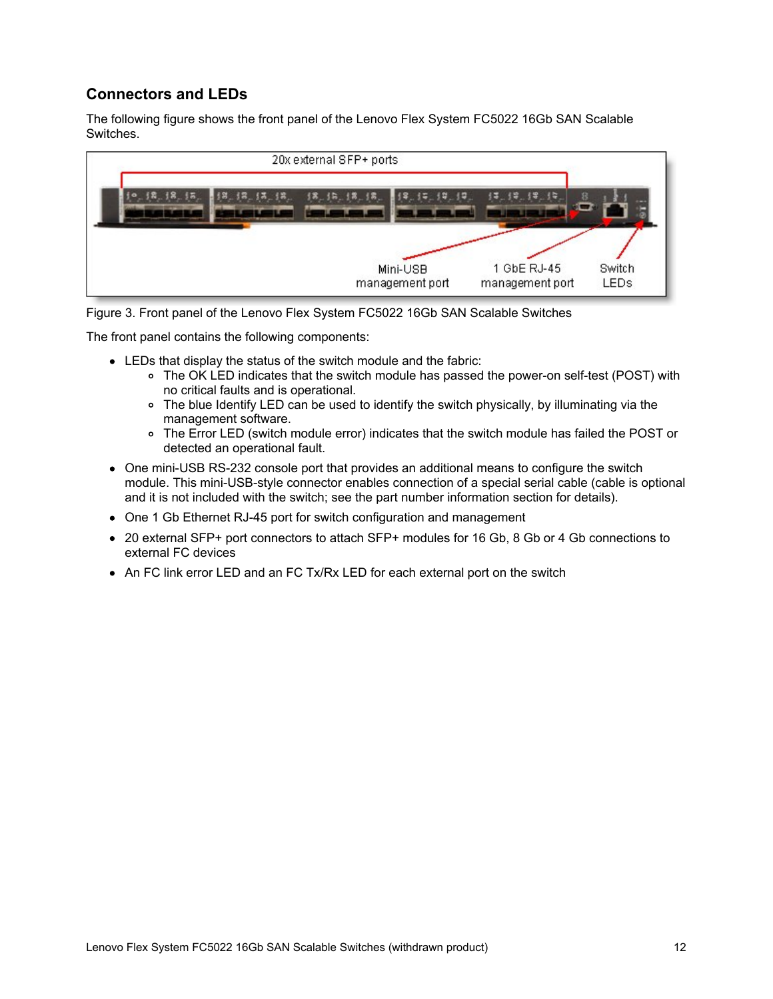## **Connectors and LEDs**

The following figure shows the front panel of the Lenovo Flex System FC5022 16Gb SAN Scalable Switches.

| 20x external SFP+ ports     |                                                         |
|-----------------------------|---------------------------------------------------------|
| Mini-USB<br>management port | 1 GbE RJ-45<br>Switch<br><b>LEDs</b><br>management port |

Figure 3. Front panel of the Lenovo Flex System FC5022 16Gb SAN Scalable Switches

The front panel contains the following components:

- LEDs that display the status of the switch module and the fabric:
	- The OK LED indicates that the switch module has passed the power-on self-test (POST) with no critical faults and is operational.
	- The blue Identify LED can be used to identify the switch physically, by illuminating via the management software.
	- The Error LED (switch module error) indicates that the switch module has failed the POST or detected an operational fault.
- One mini-USB RS-232 console port that provides an additional means to configure the switch module. This mini-USB-style connector enables connection of a special serial cable (cable is optional and it is not included with the switch; see the part number information section for details).
- One 1 Gb Ethernet RJ-45 port for switch configuration and management
- 20 external SFP+ port connectors to attach SFP+ modules for 16 Gb, 8 Gb or 4 Gb connections to external FC devices
- An FC link error LED and an FC Tx/Rx LED for each external port on the switch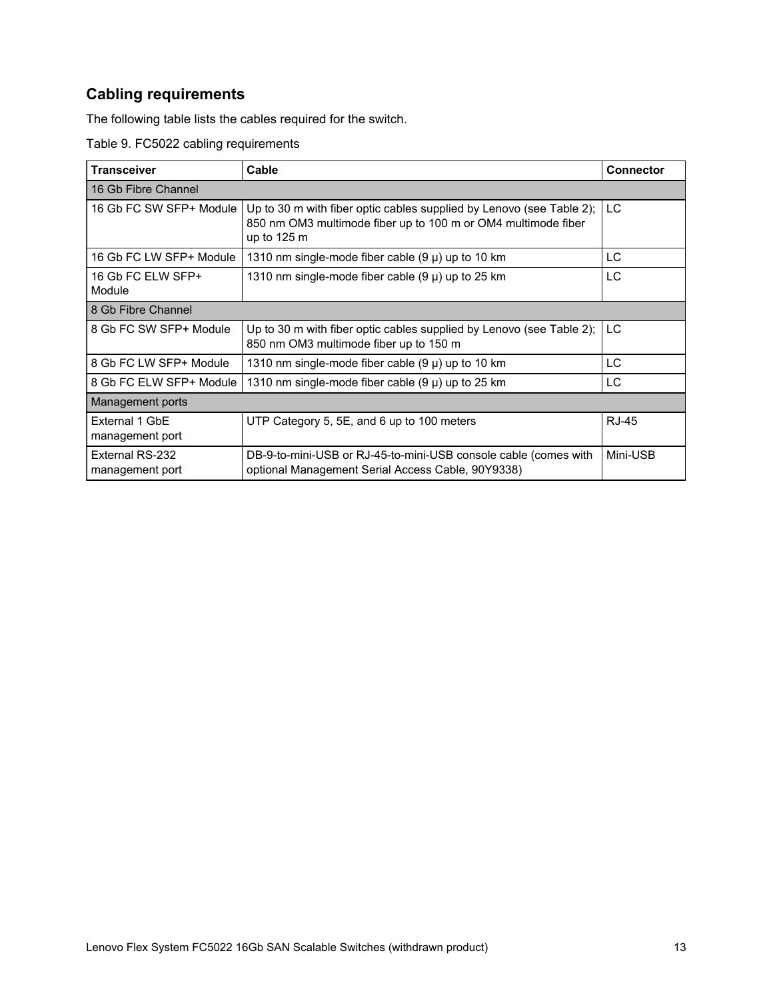## **Cabling requirements**

The following table lists the cables required for the switch.

Table 9. FC5022 cabling requirements

| <b>Transceiver</b>                 | Cable<br><b>Connector</b>                                                                                                                            |              |  |  |  |
|------------------------------------|------------------------------------------------------------------------------------------------------------------------------------------------------|--------------|--|--|--|
| 16 Gb Fibre Channel                |                                                                                                                                                      |              |  |  |  |
| 16 Gb FC SW SFP+ Module            | Up to 30 m with fiber optic cables supplied by Lenovo (see Table 2);<br>850 nm OM3 multimode fiber up to 100 m or OM4 multimode fiber<br>up to 125 m | LC.          |  |  |  |
| 16 Gb FC LW SFP+ Module            | 1310 nm single-mode fiber cable $(9 \mu)$ up to 10 km                                                                                                | LC           |  |  |  |
| 16 Gb FC ELW SFP+<br>Module        | 1310 nm single-mode fiber cable $(9 \mu)$ up to 25 km                                                                                                | LC.          |  |  |  |
| 8 Gb Fibre Channel                 |                                                                                                                                                      |              |  |  |  |
| 8 Gb FC SW SFP+ Module             | Up to 30 m with fiber optic cables supplied by Lenovo (see Table 2);<br>850 nm OM3 multimode fiber up to 150 m                                       | LC.          |  |  |  |
| 8 Gb FC LW SFP+ Module             | 1310 nm single-mode fiber cable $(9 \mu)$ up to 10 km                                                                                                | LC           |  |  |  |
| 8 Gb FC ELW SFP+ Module            | 1310 nm single-mode fiber cable $(9 \mu)$ up to 25 km                                                                                                | LC.          |  |  |  |
| Management ports                   |                                                                                                                                                      |              |  |  |  |
| External 1 GbE<br>management port  | UTP Category 5, 5E, and 6 up to 100 meters                                                                                                           | <b>RJ-45</b> |  |  |  |
| External RS-232<br>management port | DB-9-to-mini-USB or RJ-45-to-mini-USB console cable (comes with<br>optional Management Serial Access Cable, 90Y9338)                                 | Mini-USB     |  |  |  |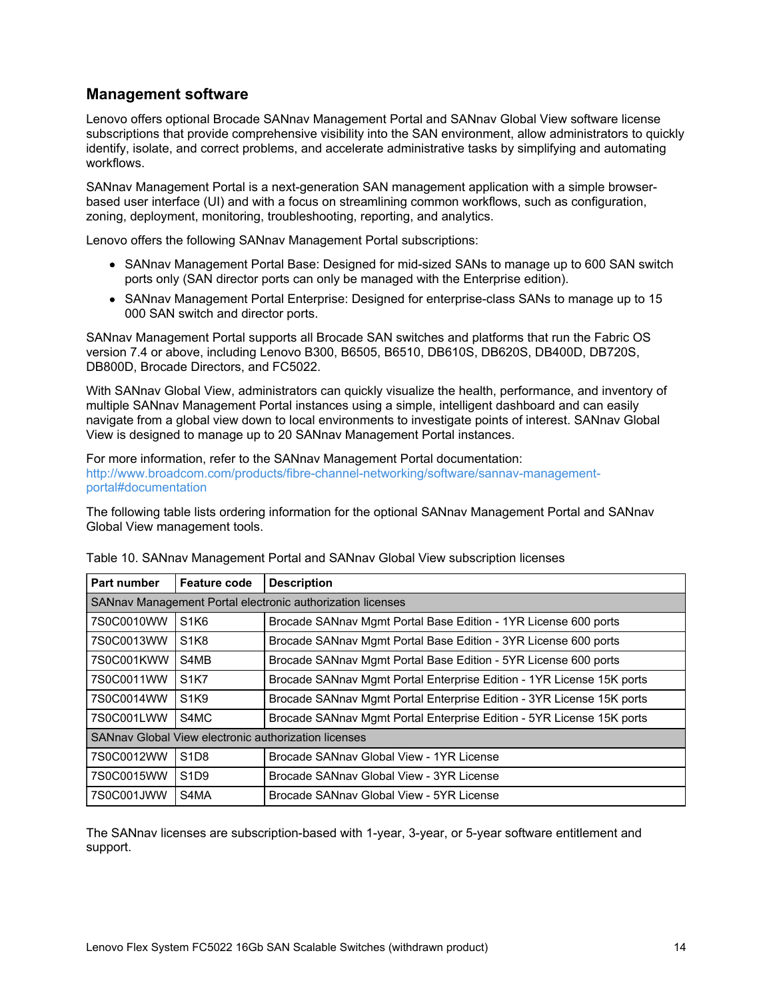#### **Management software**

Lenovo offers optional Brocade SANnav Management Portal and SANnav Global View software license subscriptions that provide comprehensive visibility into the SAN environment, allow administrators to quickly identify, isolate, and correct problems, and accelerate administrative tasks by simplifying and automating workflows.

SANnav Management Portal is a next-generation SAN management application with a simple browserbased user interface (UI) and with a focus on streamlining common workflows, such as configuration, zoning, deployment, monitoring, troubleshooting, reporting, and analytics.

Lenovo offers the following SANnav Management Portal subscriptions:

- SANnav Management Portal Base: Designed for mid-sized SANs to manage up to 600 SAN switch ports only (SAN director ports can only be managed with the Enterprise edition).
- SANnav Management Portal Enterprise: Designed for enterprise-class SANs to manage up to 15 000 SAN switch and director ports.

SANnav Management Portal supports all Brocade SAN switches and platforms that run the Fabric OS version 7.4 or above, including Lenovo B300, B6505, B6510, DB610S, DB620S, DB400D, DB720S, DB800D, Brocade Directors, and FC5022.

With SANnav Global View, administrators can quickly visualize the health, performance, and inventory of multiple SANnav Management Portal instances using a simple, intelligent dashboard and can easily navigate from a global view down to local environments to investigate points of interest. SANnav Global View is designed to manage up to 20 SANnav Management Portal instances.

For more information, refer to the SANnav Management Portal documentation: [http://www.broadcom.com/products/fibre-channel-networking/software/sannav-management](http://www.broadcom.com/products/fibre-channel-networking/software/sannav-management-portal#documentation)portal#documentation

The following table lists ordering information for the optional SANnav Management Portal and SANnav Global View management tools.

| <b>Part number</b>                                   | <b>Feature code</b>                                        | <b>Description</b>                                                    |  |  |
|------------------------------------------------------|------------------------------------------------------------|-----------------------------------------------------------------------|--|--|
|                                                      | SANnav Management Portal electronic authorization licenses |                                                                       |  |  |
| 7S0C0010WW                                           | S <sub>1</sub> K <sub>6</sub>                              | Brocade SANnav Mgmt Portal Base Edition - 1YR License 600 ports       |  |  |
| 7S0C0013WW                                           | S <sub>1</sub> K <sub>8</sub>                              | Brocade SANnav Mgmt Portal Base Edition - 3YR License 600 ports       |  |  |
| 7S0C001KWW                                           | S4MB                                                       | Brocade SANnav Mgmt Portal Base Edition - 5YR License 600 ports       |  |  |
| 7S0C0011WW                                           | <b>S1K7</b>                                                | Brocade SANnav Mgmt Portal Enterprise Edition - 1YR License 15K ports |  |  |
| 7S0C0014WW                                           | S <sub>1</sub> K <sub>9</sub>                              | Brocade SANnav Mgmt Portal Enterprise Edition - 3YR License 15K ports |  |  |
| 7S0C001LWW                                           | S4MC                                                       | Brocade SANnav Mgmt Portal Enterprise Edition - 5YR License 15K ports |  |  |
| SANnav Global View electronic authorization licenses |                                                            |                                                                       |  |  |
| 7S0C0012WW                                           | S <sub>1</sub> D <sub>8</sub>                              | Brocade SANnav Global View - 1YR License                              |  |  |
| 7S0C0015WW                                           | S <sub>1</sub> D <sub>9</sub>                              | Brocade SANnav Global View - 3YR License                              |  |  |
| 7S0C001JWW                                           | S4MA                                                       | Brocade SANnay Global View - 5YR License                              |  |  |

Table 10. SANnav Management Portal and SANnav Global View subscription licenses

The SANnav licenses are subscription-based with 1-year, 3-year, or 5-year software entitlement and support.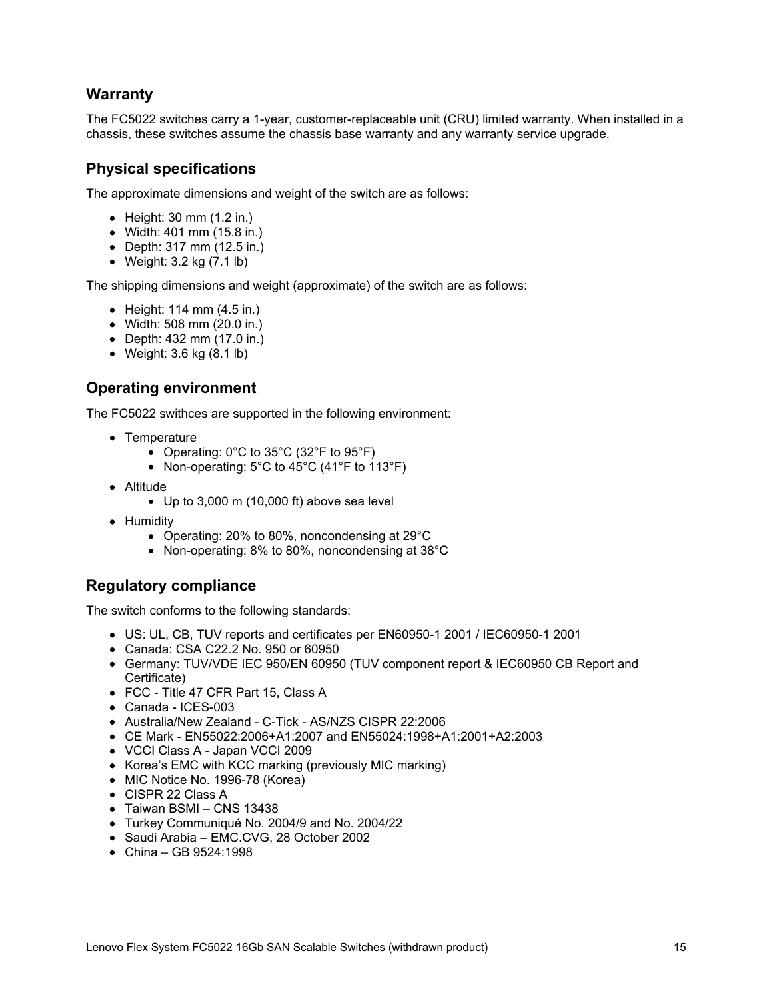## **Warranty**

The FC5022 switches carry a 1-year, customer-replaceable unit (CRU) limited warranty. When installed in a chassis, these switches assume the chassis base warranty and any warranty service upgrade.

## **Physical specifications**

The approximate dimensions and weight of the switch are as follows:

- Height: 30 mm (1.2 in.)
- Width: 401 mm (15.8 in.)
- Depth: 317 mm (12.5 in.)
- Weight: 3.2 kg (7.1 lb)

The shipping dimensions and weight (approximate) of the switch are as follows:

- $\bullet$  Height: 114 mm  $(4.5 \text{ in.})$
- Width: 508 mm (20.0 in.)
- Depth: 432 mm (17.0 in.)
- Weight: 3.6 kg (8.1 lb)

## **Operating environment**

The FC5022 swithces are supported in the following environment:

- Temperature
	- Operating:  $0^{\circ}$ C to  $35^{\circ}$ C ( $32^{\circ}$ F to  $95^{\circ}$ F)
	- Non-operating:  $5^{\circ}$ C to 45 $^{\circ}$ C (41 $^{\circ}$ F to 113 $^{\circ}$ F)
- Altitude
	- Up to 3,000 m (10,000 ft) above sea level
- Humidity
	- Operating: 20% to 80%, noncondensing at 29°C
	- Non-operating: 8% to 80%, noncondensing at 38°C

## **Regulatory compliance**

The switch conforms to the following standards:

- US: UL, CB, TUV reports and certificates per EN60950-1 2001 / IEC60950-1 2001
- Canada: CSA C22.2 No. 950 or 60950
- Germany: TUV/VDE IEC 950/EN 60950 (TUV component report & IEC60950 CB Report and Certificate)
- FCC Title 47 CFR Part 15, Class A
- Canada ICES-003
- Australia/New Zealand C-Tick AS/NZS CISPR 22:2006
- CE Mark EN55022:2006+A1:2007 and EN55024:1998+A1:2001+A2:2003
- VCCI Class A Japan VCCI 2009
- Korea's EMC with KCC marking (previously MIC marking)
- MIC Notice No. 1996-78 (Korea)
- CISPR 22 Class A
- Taiwan BSMI CNS 13438
- Turkey Communiqué No. 2004/9 and No. 2004/22
- Saudi Arabia EMC.CVG, 28 October 2002
- China GB 9524:1998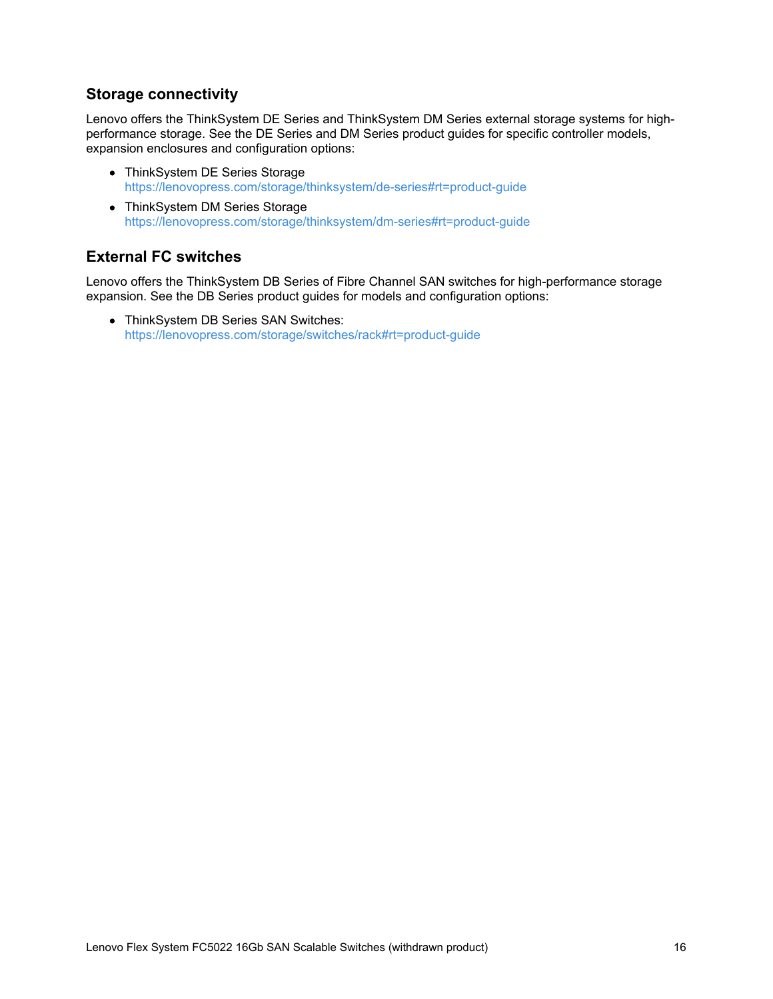#### **Storage connectivity**

Lenovo offers the ThinkSystem DE Series and ThinkSystem DM Series external storage systems for highperformance storage. See the DE Series and DM Series product guides for specific controller models, expansion enclosures and configuration options:

- ThinkSystem DE Series Storage <https://lenovopress.com/storage/thinksystem/de-series#rt=product-guide>
- ThinkSystem DM Series Storage <https://lenovopress.com/storage/thinksystem/dm-series#rt=product-guide>

## **External FC switches**

Lenovo offers the ThinkSystem DB Series of Fibre Channel SAN switches for high-performance storage expansion. See the DB Series product guides for models and configuration options:

• ThinkSystem DB Series SAN Switches: <https://lenovopress.com/storage/switches/rack#rt=product-guide>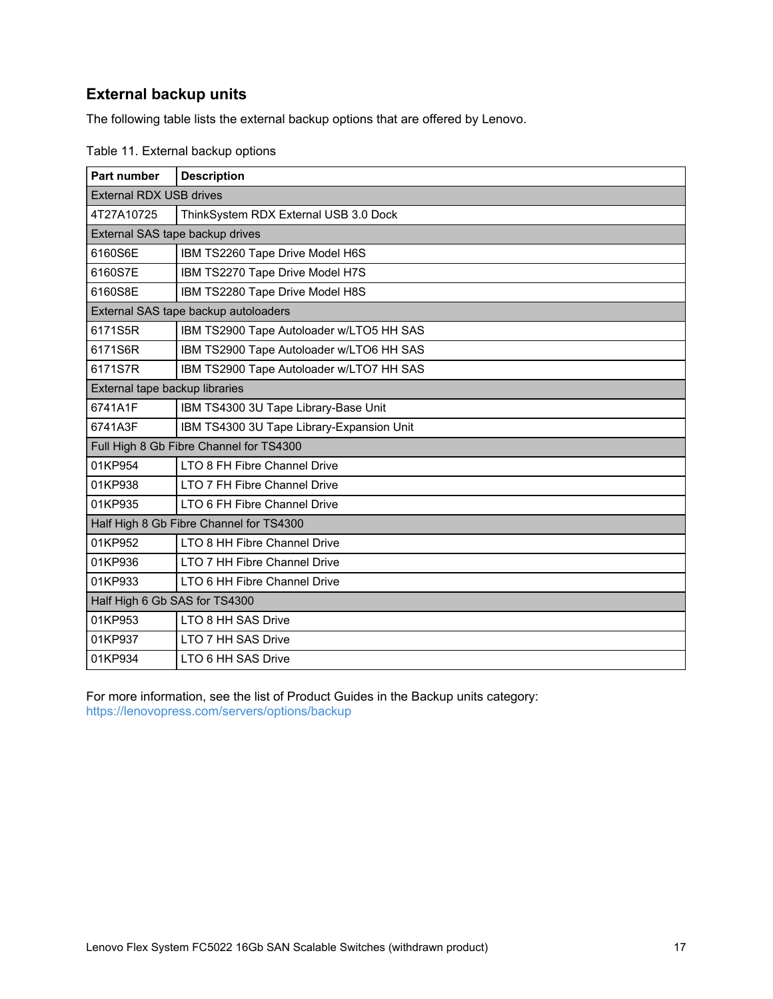## **External backup units**

The following table lists the external backup options that are offered by Lenovo.

| Part number                             | <b>Description</b>                        |
|-----------------------------------------|-------------------------------------------|
| <b>External RDX USB drives</b>          |                                           |
| 4T27A10725                              | ThinkSystem RDX External USB 3.0 Dock     |
| External SAS tape backup drives         |                                           |
| 6160S6E                                 | IBM TS2260 Tape Drive Model H6S           |
| 6160S7E                                 | IBM TS2270 Tape Drive Model H7S           |
| 6160S8E                                 | IBM TS2280 Tape Drive Model H8S           |
| External SAS tape backup autoloaders    |                                           |
| 6171S5R                                 | IBM TS2900 Tape Autoloader w/LTO5 HH SAS  |
| 6171S6R                                 | IBM TS2900 Tape Autoloader w/LTO6 HH SAS  |
| 6171S7R                                 | IBM TS2900 Tape Autoloader w/LTO7 HH SAS  |
| External tape backup libraries          |                                           |
| 6741A1F                                 | IBM TS4300 3U Tape Library-Base Unit      |
| 6741A3F                                 | IBM TS4300 3U Tape Library-Expansion Unit |
| Full High 8 Gb Fibre Channel for TS4300 |                                           |
| 01KP954                                 | LTO 8 FH Fibre Channel Drive              |
| 01KP938                                 | LTO 7 FH Fibre Channel Drive              |
| 01KP935                                 | LTO 6 FH Fibre Channel Drive              |
| Half High 8 Gb Fibre Channel for TS4300 |                                           |
| 01KP952                                 | LTO 8 HH Fibre Channel Drive              |
| 01KP936                                 | LTO 7 HH Fibre Channel Drive              |
| 01KP933                                 | LTO 6 HH Fibre Channel Drive              |
| Half High 6 Gb SAS for TS4300           |                                           |
| 01KP953                                 | LTO 8 HH SAS Drive                        |
| 01KP937                                 | LTO 7 HH SAS Drive                        |
| 01KP934                                 | LTO 6 HH SAS Drive                        |

Table 11. External backup options

For more information, see the list of Product Guides in the Backup units category: <https://lenovopress.com/servers/options/backup>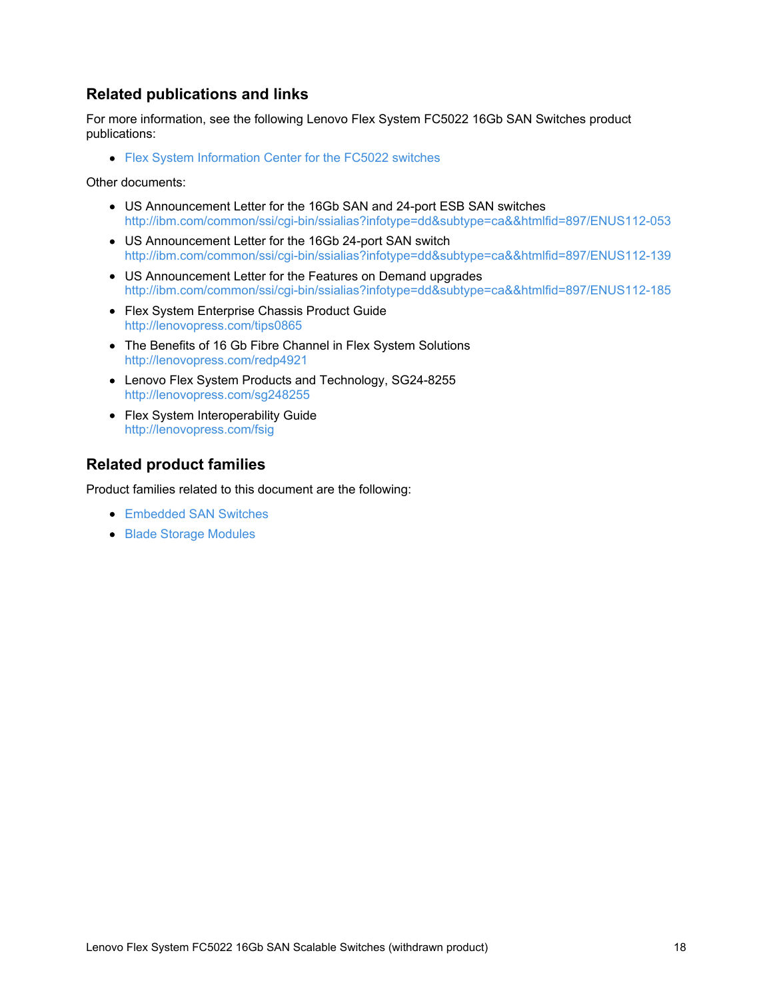## **Related publications and links**

For more information, see the following Lenovo Flex System FC5022 16Gb SAN Switches product publications:

Flex System [Information](https://flexsystem.lenovofiles.com/help/topic/com.lenovo.acc.fc5022.doc/Io_module_pharos.html?cp=0_9_1_7) Center for the FC5022 switches

Other documents:

- US Announcement Letter for the 16Gb SAN and 24-port ESB SAN switches <http://ibm.com/common/ssi/cgi-bin/ssialias?infotype=dd&subtype=ca&&htmlfid=897/ENUS112-053>
- US Announcement Letter for the 16Gb 24-port SAN switch <http://ibm.com/common/ssi/cgi-bin/ssialias?infotype=dd&subtype=ca&&htmlfid=897/ENUS112-139>
- US Announcement Letter for the Features on Demand upgrades <http://ibm.com/common/ssi/cgi-bin/ssialias?infotype=dd&subtype=ca&&htmlfid=897/ENUS112-185>
- Flex System Enterprise Chassis Product Guide <http://lenovopress.com/tips0865>
- The Benefits of 16 Gb Fibre Channel in Flex System Solutions <http://lenovopress.com/redp4921>
- Lenovo Flex System Products and Technology, SG24-8255 <http://lenovopress.com/sg248255>
- Flex System Interoperability Guide <http://lenovopress.com/fsig>

## **Related product families**

Product families related to this document are the following:

- [Embedded](https://lenovopress.com/storage/switches/embedded) SAN Switches
- Blade Storage [Modules](https://lenovopress.com/servers/blades/storagemodule)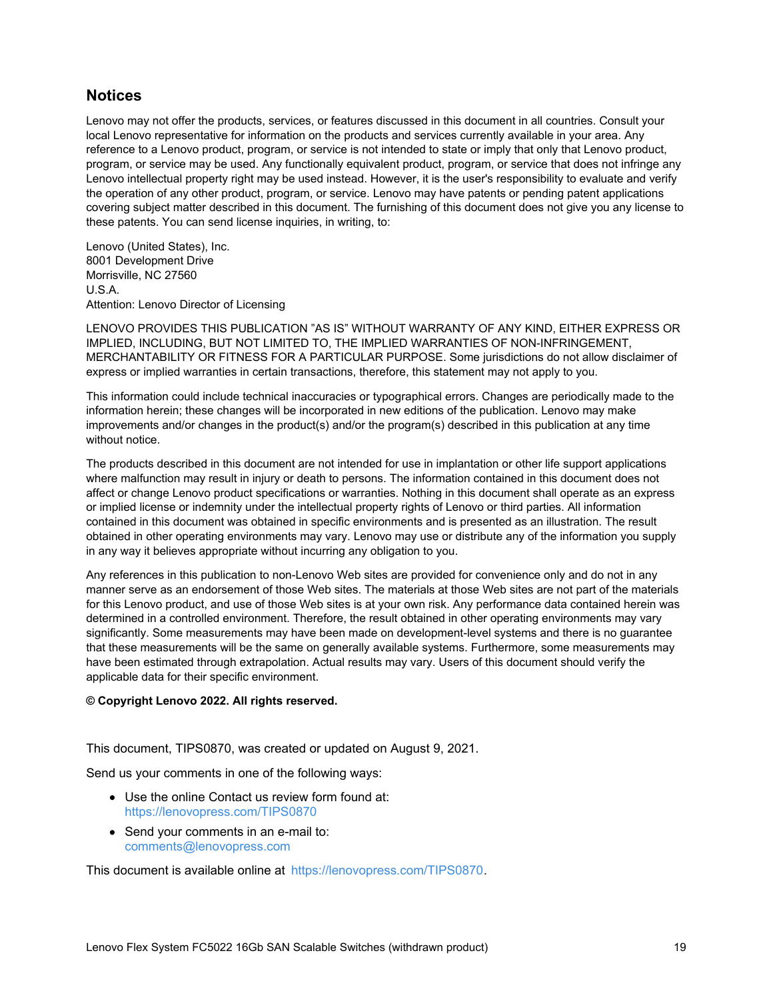#### **Notices**

Lenovo may not offer the products, services, or features discussed in this document in all countries. Consult your local Lenovo representative for information on the products and services currently available in your area. Any reference to a Lenovo product, program, or service is not intended to state or imply that only that Lenovo product, program, or service may be used. Any functionally equivalent product, program, or service that does not infringe any Lenovo intellectual property right may be used instead. However, it is the user's responsibility to evaluate and verify the operation of any other product, program, or service. Lenovo may have patents or pending patent applications covering subject matter described in this document. The furnishing of this document does not give you any license to these patents. You can send license inquiries, in writing, to:

Lenovo (United States), Inc. 8001 Development Drive Morrisville, NC 27560 U.S.A. Attention: Lenovo Director of Licensing

LENOVO PROVIDES THIS PUBLICATION "AS IS" WITHOUT WARRANTY OF ANY KIND, EITHER EXPRESS OR IMPLIED, INCLUDING, BUT NOT LIMITED TO, THE IMPLIED WARRANTIES OF NON-INFRINGEMENT, MERCHANTABILITY OR FITNESS FOR A PARTICULAR PURPOSE. Some jurisdictions do not allow disclaimer of express or implied warranties in certain transactions, therefore, this statement may not apply to you.

This information could include technical inaccuracies or typographical errors. Changes are periodically made to the information herein; these changes will be incorporated in new editions of the publication. Lenovo may make improvements and/or changes in the product(s) and/or the program(s) described in this publication at any time without notice.

The products described in this document are not intended for use in implantation or other life support applications where malfunction may result in injury or death to persons. The information contained in this document does not affect or change Lenovo product specifications or warranties. Nothing in this document shall operate as an express or implied license or indemnity under the intellectual property rights of Lenovo or third parties. All information contained in this document was obtained in specific environments and is presented as an illustration. The result obtained in other operating environments may vary. Lenovo may use or distribute any of the information you supply in any way it believes appropriate without incurring any obligation to you.

Any references in this publication to non-Lenovo Web sites are provided for convenience only and do not in any manner serve as an endorsement of those Web sites. The materials at those Web sites are not part of the materials for this Lenovo product, and use of those Web sites is at your own risk. Any performance data contained herein was determined in a controlled environment. Therefore, the result obtained in other operating environments may vary significantly. Some measurements may have been made on development-level systems and there is no guarantee that these measurements will be the same on generally available systems. Furthermore, some measurements may have been estimated through extrapolation. Actual results may vary. Users of this document should verify the applicable data for their specific environment.

#### **© Copyright Lenovo 2022. All rights reserved.**

This document, TIPS0870, was created or updated on August 9, 2021.

Send us your comments in one of the following ways:

- Use the online Contact us review form found at: <https://lenovopress.com/TIPS0870>
- Send your comments in an e-mail to: [comments@lenovopress.com](mailto:comments@lenovopress.com?subject=Feedback for TIPS0870)

This document is available online at <https://lenovopress.com/TIPS0870>.